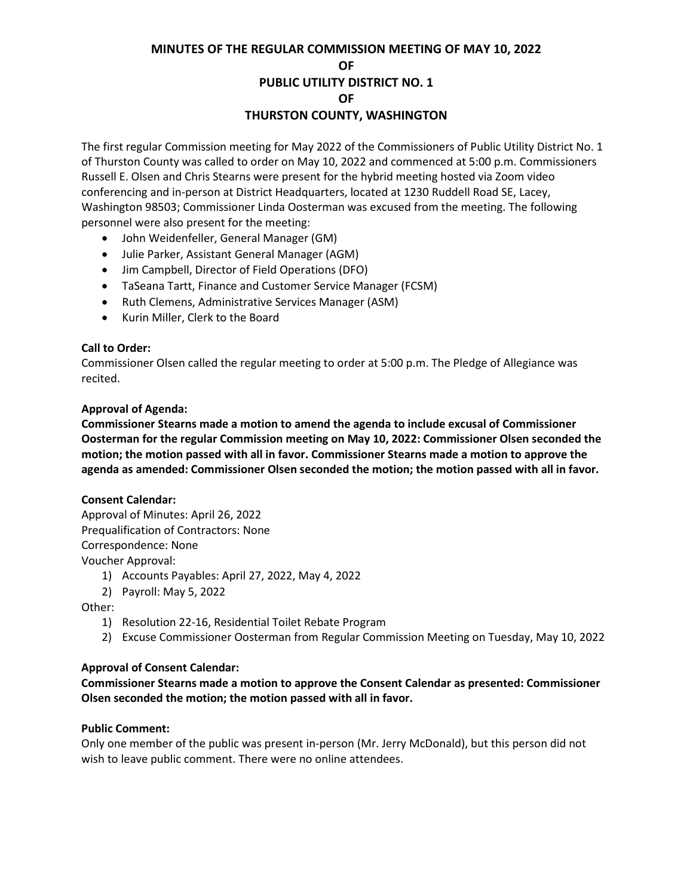### **MINUTES OF THE REGULAR COMMISSION MEETING OF MAY 10, 2022 OF PUBLIC UTILITY DISTRICT NO. 1 OF THURSTON COUNTY, WASHINGTON**

The first regular Commission meeting for May 2022 of the Commissioners of Public Utility District No. 1 of Thurston County was called to order on May 10, 2022 and commenced at 5:00 p.m. Commissioners Russell E. Olsen and Chris Stearns were present for the hybrid meeting hosted via Zoom video conferencing and in-person at District Headquarters, located at 1230 Ruddell Road SE, Lacey, Washington 98503; Commissioner Linda Oosterman was excused from the meeting. The following personnel were also present for the meeting:

- John Weidenfeller, General Manager (GM)
- Julie Parker, Assistant General Manager (AGM)
- Jim Campbell, Director of Field Operations (DFO)
- TaSeana Tartt, Finance and Customer Service Manager (FCSM)
- Ruth Clemens, Administrative Services Manager (ASM)
- Kurin Miller, Clerk to the Board

#### **Call to Order:**

Commissioner Olsen called the regular meeting to order at 5:00 p.m. The Pledge of Allegiance was recited.

#### **Approval of Agenda:**

**Commissioner Stearns made a motion to amend the agenda to include excusal of Commissioner Oosterman for the regular Commission meeting on May 10, 2022: Commissioner Olsen seconded the motion; the motion passed with all in favor. Commissioner Stearns made a motion to approve the agenda as amended: Commissioner Olsen seconded the motion; the motion passed with all in favor.**

#### **Consent Calendar:**

Approval of Minutes: April 26, 2022 Prequalification of Contractors: None Correspondence: None Voucher Approval:

1) Accounts Payables: April 27, 2022, May 4, 2022

2) Payroll: May 5, 2022

Other:

- 1) Resolution 22-16, Residential Toilet Rebate Program
- 2) Excuse Commissioner Oosterman from Regular Commission Meeting on Tuesday, May 10, 2022

#### **Approval of Consent Calendar:**

**Commissioner Stearns made a motion to approve the Consent Calendar as presented: Commissioner Olsen seconded the motion; the motion passed with all in favor.**

#### **Public Comment:**

Only one member of the public was present in-person (Mr. Jerry McDonald), but this person did not wish to leave public comment. There were no online attendees.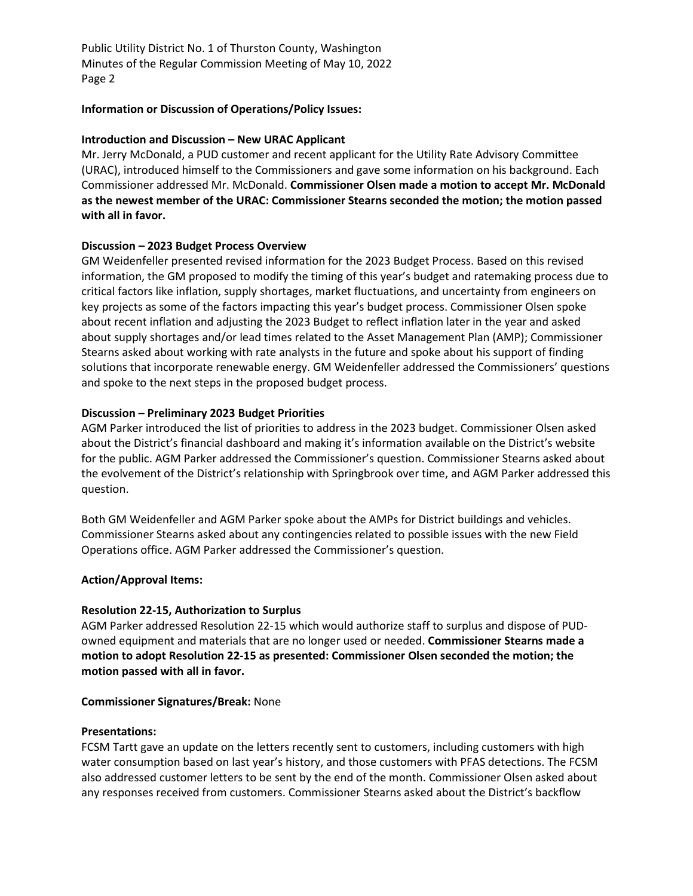Public Utility District No. 1 of Thurston County, Washington Minutes of the Regular Commission Meeting of May 10, 2022 Page 2

#### **Information or Discussion of Operations/Policy Issues:**

#### **Introduction and Discussion – New URAC Applicant**

Mr. Jerry McDonald, a PUD customer and recent applicant for the Utility Rate Advisory Committee (URAC), introduced himself to the Commissioners and gave some information on his background. Each Commissioner addressed Mr. McDonald. **Commissioner Olsen made a motion to accept Mr. McDonald as the newest member of the URAC: Commissioner Stearns seconded the motion; the motion passed with all in favor.**

#### **Discussion – 2023 Budget Process Overview**

GM Weidenfeller presented revised information for the 2023 Budget Process. Based on this revised information, the GM proposed to modify the timing of this year's budget and ratemaking process due to critical factors like inflation, supply shortages, market fluctuations, and uncertainty from engineers on key projects as some of the factors impacting this year's budget process. Commissioner Olsen spoke about recent inflation and adjusting the 2023 Budget to reflect inflation later in the year and asked about supply shortages and/or lead times related to the Asset Management Plan (AMP); Commissioner Stearns asked about working with rate analysts in the future and spoke about his support of finding solutions that incorporate renewable energy. GM Weidenfeller addressed the Commissioners' questions and spoke to the next steps in the proposed budget process.

#### **Discussion – Preliminary 2023 Budget Priorities**

AGM Parker introduced the list of priorities to address in the 2023 budget. Commissioner Olsen asked about the District's financial dashboard and making it's information available on the District's website for the public. AGM Parker addressed the Commissioner's question. Commissioner Stearns asked about the evolvement of the District's relationship with Springbrook over time, and AGM Parker addressed this question.

Both GM Weidenfeller and AGM Parker spoke about the AMPs for District buildings and vehicles. Commissioner Stearns asked about any contingencies related to possible issues with the new Field Operations office. AGM Parker addressed the Commissioner's question.

#### **Action/Approval Items:**

#### **Resolution 22-15, Authorization to Surplus**

AGM Parker addressed Resolution 22-15 which would authorize staff to surplus and dispose of PUDowned equipment and materials that are no longer used or needed. **Commissioner Stearns made a motion to adopt Resolution 22-15 as presented: Commissioner Olsen seconded the motion; the motion passed with all in favor.**

#### **Commissioner Signatures/Break:** None

#### **Presentations:**

FCSM Tartt gave an update on the letters recently sent to customers, including customers with high water consumption based on last year's history, and those customers with PFAS detections. The FCSM also addressed customer letters to be sent by the end of the month. Commissioner Olsen asked about any responses received from customers. Commissioner Stearns asked about the District's backflow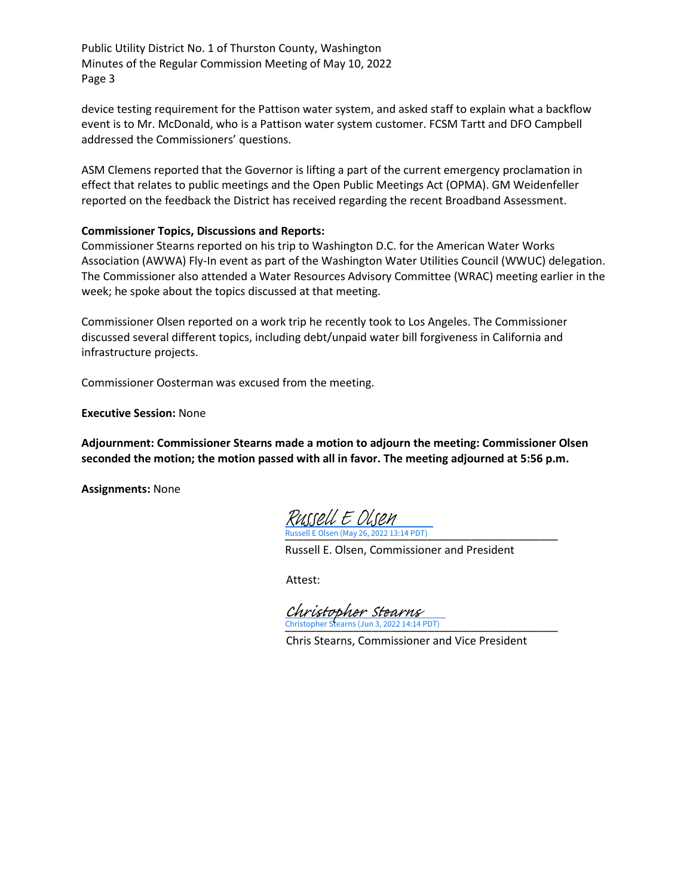Public Utility District No. 1 of Thurston County, Washington Minutes of the Regular Commission Meeting of May 10, 2022 Page 3

device testing requirement for the Pattison water system, and asked staff to explain what a backflow event is to Mr. McDonald, who is a Pattison water system customer. FCSM Tartt and DFO Campbell addressed the Commissioners' questions.

ASM Clemens reported that the Governor is lifting a part of the current emergency proclamation in effect that relates to public meetings and the Open Public Meetings Act (OPMA). GM Weidenfeller reported on the feedback the District has received regarding the recent Broadband Assessment.

#### **Commissioner Topics, Discussions and Reports:**

Commissioner Stearns reported on his trip to Washington D.C. for the American Water Works Association (AWWA) Fly-In event as part of the Washington Water Utilities Council (WWUC) delegation. The Commissioner also attended a Water Resources Advisory Committee (WRAC) meeting earlier in the week; he spoke about the topics discussed at that meeting.

Commissioner Olsen reported on a work trip he recently took to Los Angeles. The Commissioner discussed several different topics, including debt/unpaid water bill forgiveness in California and infrastructure projects.

Commissioner Oosterman was excused from the meeting.

**Executive Session:** None

**Adjournment: Commissioner Stearns made a motion to adjourn the meeting: Commissioner Olsen seconded the motion; the motion passed with all in favor. The meeting adjourned at 5:56 p.m.**

**Assignments:** None

[\\_\\_\\_\\_\\_\\_\\_\\_\\_\\_\\_\\_\\_\\_\\_\\_\\_\\_\\_\\_\\_\\_\\_\\_\\_\\_\\_\\_\\_\\_\\_\\_\\_\\_\\_\\_\\_\\_\\_\\_\\_\\_\\_\\_](https://na1.documents.adobe.com/verifier?tx=CBJCHBCAABAAKc_LNfh6M7LxGQpcHL-Zn8RoCMsq4aCl) Russell E Olsen (May 26, 2022 13:14 PDT) Russell E Olsen

Russell E. Olsen, Commissioner and President

Attest:

\_\_\_\_\_\_\_\_\_\_\_\_\_\_\_\_\_\_\_\_\_\_\_\_\_\_\_\_\_\_\_\_\_\_\_\_\_\_\_\_\_\_\_\_ Christopher Stearns (Jun 3, 2022 14:14 PDT) [Christopher Stearns](https://na1.documents.adobe.com/verifier?tx=CBJCHBCAABAAKc_LNfh6M7LxGQpcHL-Zn8RoCMsq4aCl)

Chris Stearns, Commissioner and Vice President